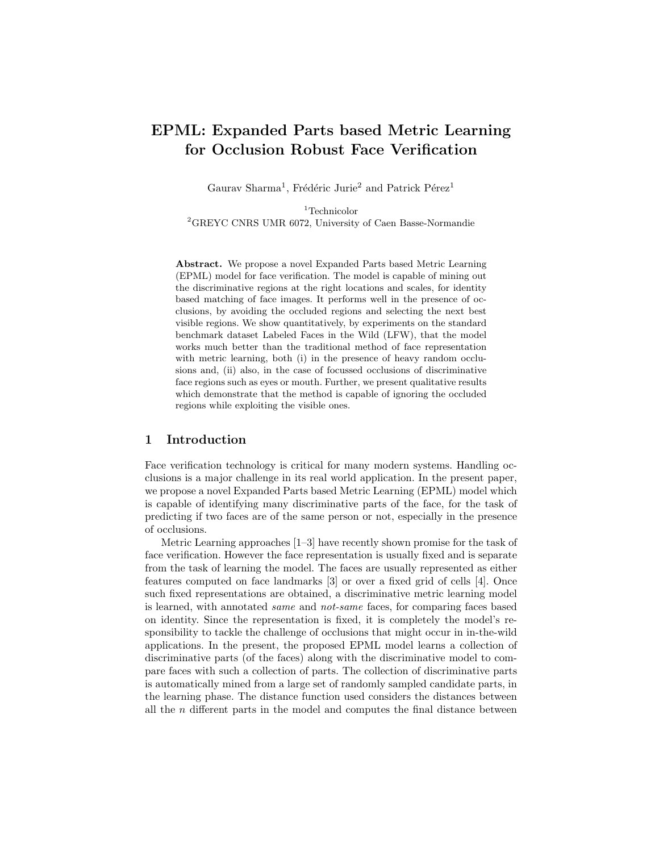# EPML: Expanded Parts based Metric Learning for Occlusion Robust Face Verification

Gaurav Sharma<sup>1</sup>, Frédéric Jurie<sup>2</sup> and Patrick Pérez<sup>1</sup>

<sup>1</sup>Technicolor

<sup>2</sup>GREYC CNRS UMR 6072, University of Caen Basse-Normandie

Abstract. We propose a novel Expanded Parts based Metric Learning (EPML) model for face verification. The model is capable of mining out the discriminative regions at the right locations and scales, for identity based matching of face images. It performs well in the presence of occlusions, by avoiding the occluded regions and selecting the next best visible regions. We show quantitatively, by experiments on the standard benchmark dataset Labeled Faces in the Wild (LFW), that the model works much better than the traditional method of face representation with metric learning, both (i) in the presence of heavy random occlusions and, (ii) also, in the case of focussed occlusions of discriminative face regions such as eyes or mouth. Further, we present qualitative results which demonstrate that the method is capable of ignoring the occluded regions while exploiting the visible ones.

## 1 Introduction

Face verification technology is critical for many modern systems. Handling occlusions is a major challenge in its real world application. In the present paper, we propose a novel Expanded Parts based Metric Learning (EPML) model which is capable of identifying many discriminative parts of the face, for the task of predicting if two faces are of the same person or not, especially in the presence of occlusions.

Metric Learning approaches [1–3] have recently shown promise for the task of face verification. However the face representation is usually fixed and is separate from the task of learning the model. The faces are usually represented as either features computed on face landmarks [3] or over a fixed grid of cells [4]. Once such fixed representations are obtained, a discriminative metric learning model is learned, with annotated same and not-same faces, for comparing faces based on identity. Since the representation is fixed, it is completely the model's responsibility to tackle the challenge of occlusions that might occur in in-the-wild applications. In the present, the proposed EPML model learns a collection of discriminative parts (of the faces) along with the discriminative model to compare faces with such a collection of parts. The collection of discriminative parts is automatically mined from a large set of randomly sampled candidate parts, in the learning phase. The distance function used considers the distances between all the n different parts in the model and computes the final distance between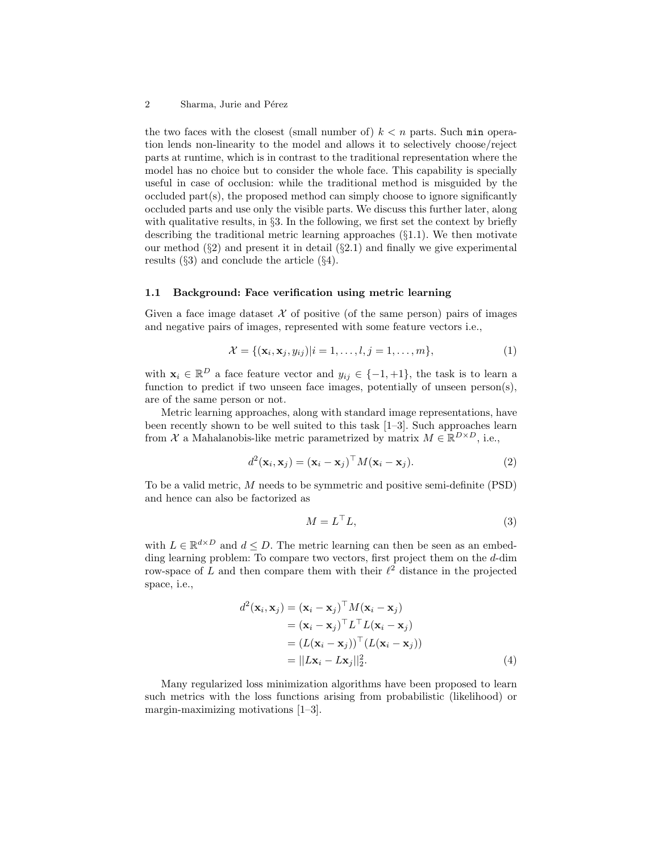the two faces with the closest (small number of)  $k < n$  parts. Such min operation lends non-linearity to the model and allows it to selectively choose/reject parts at runtime, which is in contrast to the traditional representation where the model has no choice but to consider the whole face. This capability is specially useful in case of occlusion: while the traditional method is misguided by the occluded part(s), the proposed method can simply choose to ignore significantly occluded parts and use only the visible parts. We discuss this further later, along with qualitative results, in §3. In the following, we first set the context by briefly describing the traditional metric learning approaches  $(\S1.1)$ . We then motivate our method  $(\S_2)$  and present it in detail  $(\S_2,1)$  and finally we give experimental results  $(\S 3)$  and conclude the article  $(\S 4)$ .

## 1.1 Background: Face verification using metric learning

Given a face image dataset  $\mathcal X$  of positive (of the same person) pairs of images and negative pairs of images, represented with some feature vectors i.e.,

$$
\mathcal{X} = \{(\mathbf{x}_i, \mathbf{x}_j, y_{ij}) | i = 1, \dots, l, j = 1, \dots, m\},\tag{1}
$$

with  $\mathbf{x}_i \in \mathbb{R}^D$  a face feature vector and  $y_{ij} \in \{-1, +1\}$ , the task is to learn a function to predict if two unseen face images, potentially of unseen person(s), are of the same person or not.

Metric learning approaches, along with standard image representations, have been recently shown to be well suited to this task [1–3]. Such approaches learn from X a Mahalanobis-like metric parametrized by matrix  $M \in \mathbb{R}^{D \times D}$ , i.e.,

$$
d^{2}(\mathbf{x}_{i}, \mathbf{x}_{j}) = (\mathbf{x}_{i} - \mathbf{x}_{j})^{\top} M(\mathbf{x}_{i} - \mathbf{x}_{j}).
$$
\n(2)

To be a valid metric, M needs to be symmetric and positive semi-definite (PSD) and hence can also be factorized as

$$
M = L^{\top} L,\tag{3}
$$

with  $L \in \mathbb{R}^{d \times D}$  and  $d \leq D$ . The metric learning can then be seen as an embedding learning problem: To compare two vectors, first project them on the d-dim row-space of L and then compare them with their  $\ell^2$  distance in the projected space, i.e.,

$$
d^{2}(\mathbf{x}_{i}, \mathbf{x}_{j}) = (\mathbf{x}_{i} - \mathbf{x}_{j})^{\top} M(\mathbf{x}_{i} - \mathbf{x}_{j})
$$
  
\n
$$
= (\mathbf{x}_{i} - \mathbf{x}_{j})^{\top} L^{\top} L(\mathbf{x}_{i} - \mathbf{x}_{j})
$$
  
\n
$$
= (L(\mathbf{x}_{i} - \mathbf{x}_{j}))^{\top} (L(\mathbf{x}_{i} - \mathbf{x}_{j}))
$$
  
\n
$$
= ||L\mathbf{x}_{i} - L\mathbf{x}_{j}||_{2}^{2}.
$$
 (4)

Many regularized loss minimization algorithms have been proposed to learn such metrics with the loss functions arising from probabilistic (likelihood) or margin-maximizing motivations [1–3].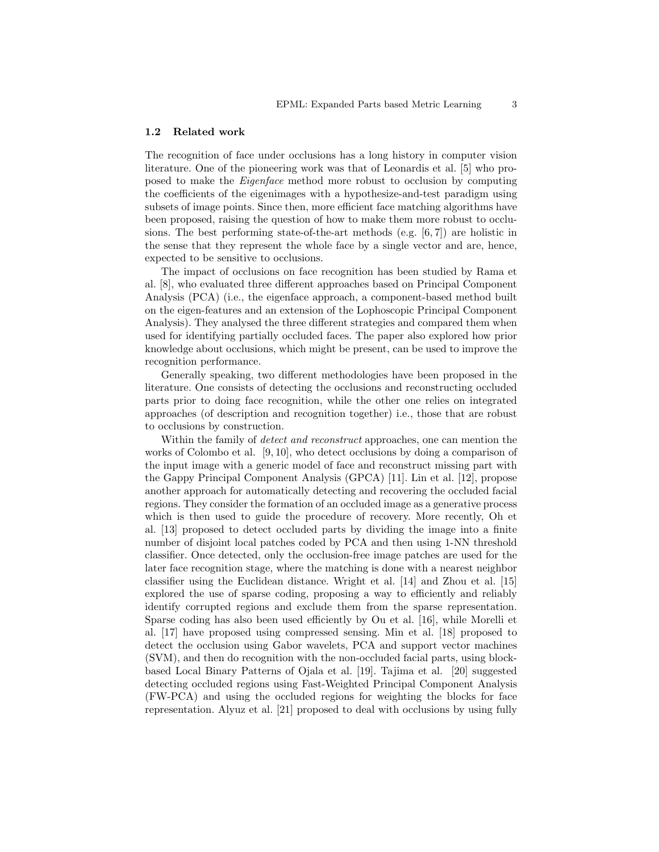#### 1.2 Related work

The recognition of face under occlusions has a long history in computer vision literature. One of the pioneering work was that of Leonardis et al. [5] who proposed to make the Eigenface method more robust to occlusion by computing the coefficients of the eigenimages with a hypothesize-and-test paradigm using subsets of image points. Since then, more efficient face matching algorithms have been proposed, raising the question of how to make them more robust to occlusions. The best performing state-of-the-art methods (e.g.  $[6, 7]$ ) are holistic in the sense that they represent the whole face by a single vector and are, hence, expected to be sensitive to occlusions.

The impact of occlusions on face recognition has been studied by Rama et al. [8], who evaluated three different approaches based on Principal Component Analysis (PCA) (i.e., the eigenface approach, a component-based method built on the eigen-features and an extension of the Lophoscopic Principal Component Analysis). They analysed the three different strategies and compared them when used for identifying partially occluded faces. The paper also explored how prior knowledge about occlusions, which might be present, can be used to improve the recognition performance.

Generally speaking, two different methodologies have been proposed in the literature. One consists of detecting the occlusions and reconstructing occluded parts prior to doing face recognition, while the other one relies on integrated approaches (of description and recognition together) i.e., those that are robust to occlusions by construction.

Within the family of *detect and reconstruct* approaches, one can mention the works of Colombo et al. [9, 10], who detect occlusions by doing a comparison of the input image with a generic model of face and reconstruct missing part with the Gappy Principal Component Analysis (GPCA) [11]. Lin et al. [12], propose another approach for automatically detecting and recovering the occluded facial regions. They consider the formation of an occluded image as a generative process which is then used to guide the procedure of recovery. More recently, Oh et al. [13] proposed to detect occluded parts by dividing the image into a finite number of disjoint local patches coded by PCA and then using 1-NN threshold classifier. Once detected, only the occlusion-free image patches are used for the later face recognition stage, where the matching is done with a nearest neighbor classifier using the Euclidean distance. Wright et al. [14] and Zhou et al. [15] explored the use of sparse coding, proposing a way to efficiently and reliably identify corrupted regions and exclude them from the sparse representation. Sparse coding has also been used efficiently by Ou et al. [16], while Morelli et al. [17] have proposed using compressed sensing. Min et al. [18] proposed to detect the occlusion using Gabor wavelets, PCA and support vector machines (SVM), and then do recognition with the non-occluded facial parts, using blockbased Local Binary Patterns of Ojala et al. [19]. Tajima et al. [20] suggested detecting occluded regions using Fast-Weighted Principal Component Analysis (FW-PCA) and using the occluded regions for weighting the blocks for face representation. Alyuz et al. [21] proposed to deal with occlusions by using fully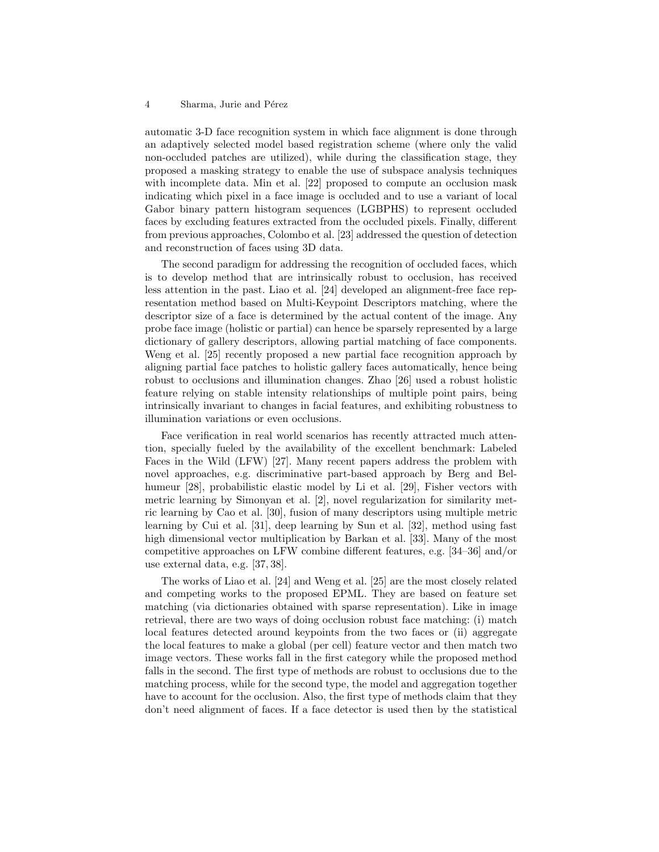#### 4 Sharma, Jurie and Pérez

automatic 3-D face recognition system in which face alignment is done through an adaptively selected model based registration scheme (where only the valid non-occluded patches are utilized), while during the classification stage, they proposed a masking strategy to enable the use of subspace analysis techniques with incomplete data. Min et al. [22] proposed to compute an occlusion mask indicating which pixel in a face image is occluded and to use a variant of local Gabor binary pattern histogram sequences (LGBPHS) to represent occluded faces by excluding features extracted from the occluded pixels. Finally, different from previous approaches, Colombo et al. [23] addressed the question of detection and reconstruction of faces using 3D data.

The second paradigm for addressing the recognition of occluded faces, which is to develop method that are intrinsically robust to occlusion, has received less attention in the past. Liao et al. [24] developed an alignment-free face representation method based on Multi-Keypoint Descriptors matching, where the descriptor size of a face is determined by the actual content of the image. Any probe face image (holistic or partial) can hence be sparsely represented by a large dictionary of gallery descriptors, allowing partial matching of face components. Weng et al. [25] recently proposed a new partial face recognition approach by aligning partial face patches to holistic gallery faces automatically, hence being robust to occlusions and illumination changes. Zhao [26] used a robust holistic feature relying on stable intensity relationships of multiple point pairs, being intrinsically invariant to changes in facial features, and exhibiting robustness to illumination variations or even occlusions.

Face verification in real world scenarios has recently attracted much attention, specially fueled by the availability of the excellent benchmark: Labeled Faces in the Wild (LFW) [27]. Many recent papers address the problem with novel approaches, e.g. discriminative part-based approach by Berg and Belhumeur [28], probabilistic elastic model by Li et al. [29], Fisher vectors with metric learning by Simonyan et al. [2], novel regularization for similarity metric learning by Cao et al. [30], fusion of many descriptors using multiple metric learning by Cui et al. [31], deep learning by Sun et al. [32], method using fast high dimensional vector multiplication by Barkan et al. [33]. Many of the most competitive approaches on LFW combine different features, e.g. [34–36] and/or use external data, e.g. [37, 38].

The works of Liao et al. [24] and Weng et al. [25] are the most closely related and competing works to the proposed EPML. They are based on feature set matching (via dictionaries obtained with sparse representation). Like in image retrieval, there are two ways of doing occlusion robust face matching: (i) match local features detected around keypoints from the two faces or (ii) aggregate the local features to make a global (per cell) feature vector and then match two image vectors. These works fall in the first category while the proposed method falls in the second. The first type of methods are robust to occlusions due to the matching process, while for the second type, the model and aggregation together have to account for the occlusion. Also, the first type of methods claim that they don't need alignment of faces. If a face detector is used then by the statistical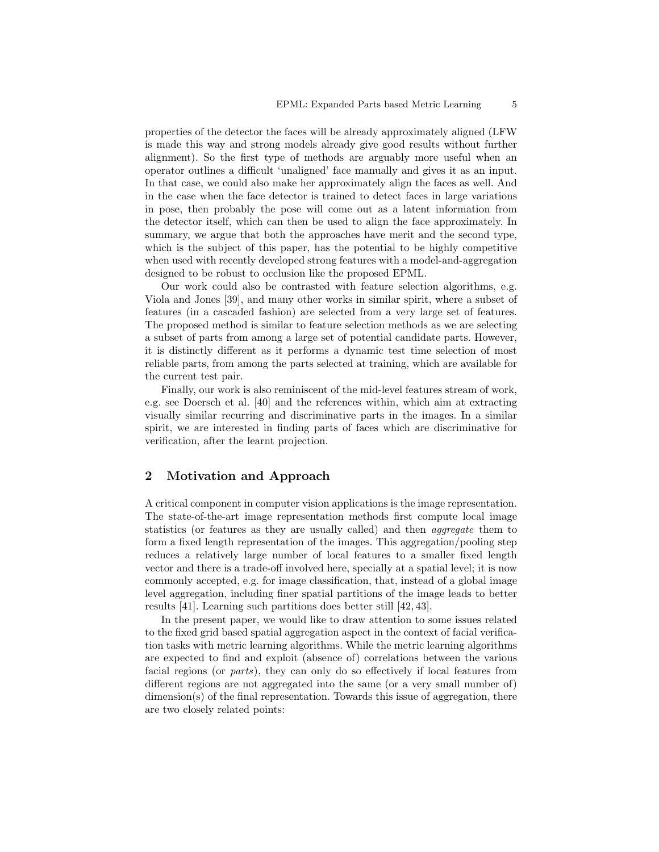properties of the detector the faces will be already approximately aligned (LFW is made this way and strong models already give good results without further alignment). So the first type of methods are arguably more useful when an operator outlines a difficult 'unaligned' face manually and gives it as an input. In that case, we could also make her approximately align the faces as well. And in the case when the face detector is trained to detect faces in large variations in pose, then probably the pose will come out as a latent information from the detector itself, which can then be used to align the face approximately. In summary, we argue that both the approaches have merit and the second type, which is the subject of this paper, has the potential to be highly competitive when used with recently developed strong features with a model-and-aggregation designed to be robust to occlusion like the proposed EPML.

Our work could also be contrasted with feature selection algorithms, e.g. Viola and Jones [39], and many other works in similar spirit, where a subset of features (in a cascaded fashion) are selected from a very large set of features. The proposed method is similar to feature selection methods as we are selecting a subset of parts from among a large set of potential candidate parts. However, it is distinctly different as it performs a dynamic test time selection of most reliable parts, from among the parts selected at training, which are available for the current test pair.

Finally, our work is also reminiscent of the mid-level features stream of work, e.g. see Doersch et al. [40] and the references within, which aim at extracting visually similar recurring and discriminative parts in the images. In a similar spirit, we are interested in finding parts of faces which are discriminative for verification, after the learnt projection.

# 2 Motivation and Approach

A critical component in computer vision applications is the image representation. The state-of-the-art image representation methods first compute local image statistics (or features as they are usually called) and then aggregate them to form a fixed length representation of the images. This aggregation/pooling step reduces a relatively large number of local features to a smaller fixed length vector and there is a trade-off involved here, specially at a spatial level; it is now commonly accepted, e.g. for image classification, that, instead of a global image level aggregation, including finer spatial partitions of the image leads to better results [41]. Learning such partitions does better still [42, 43].

In the present paper, we would like to draw attention to some issues related to the fixed grid based spatial aggregation aspect in the context of facial verification tasks with metric learning algorithms. While the metric learning algorithms are expected to find and exploit (absence of) correlations between the various facial regions (or parts), they can only do so effectively if local features from different regions are not aggregated into the same (or a very small number of) dimension(s) of the final representation. Towards this issue of aggregation, there are two closely related points: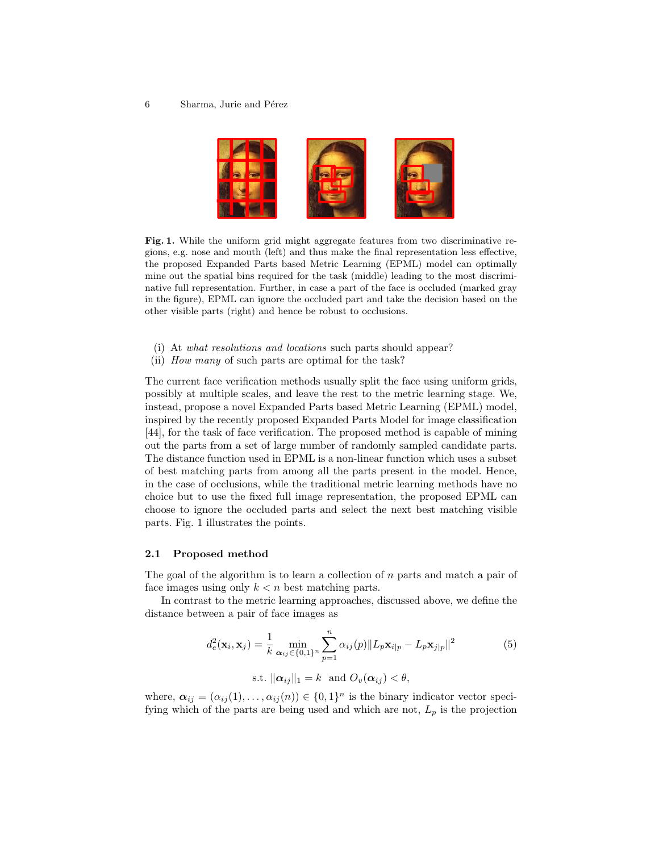

Fig. 1. While the uniform grid might aggregate features from two discriminative regions, e.g. nose and mouth (left) and thus make the final representation less effective, the proposed Expanded Parts based Metric Learning (EPML) model can optimally mine out the spatial bins required for the task (middle) leading to the most discriminative full representation. Further, in case a part of the face is occluded (marked gray in the figure), EPML can ignore the occluded part and take the decision based on the other visible parts (right) and hence be robust to occlusions.

- (i) At what resolutions and locations such parts should appear?
- (ii) How many of such parts are optimal for the task?

The current face verification methods usually split the face using uniform grids, possibly at multiple scales, and leave the rest to the metric learning stage. We, instead, propose a novel Expanded Parts based Metric Learning (EPML) model, inspired by the recently proposed Expanded Parts Model for image classification [44], for the task of face verification. The proposed method is capable of mining out the parts from a set of large number of randomly sampled candidate parts. The distance function used in EPML is a non-linear function which uses a subset of best matching parts from among all the parts present in the model. Hence, in the case of occlusions, while the traditional metric learning methods have no choice but to use the fixed full image representation, the proposed EPML can choose to ignore the occluded parts and select the next best matching visible parts. Fig. 1 illustrates the points.

### 2.1 Proposed method

The goal of the algorithm is to learn a collection of  $n$  parts and match a pair of face images using only  $k < n$  best matching parts.

In contrast to the metric learning approaches, discussed above, we define the distance between a pair of face images as

$$
d_e^2(\mathbf{x}_i, \mathbf{x}_j) = \frac{1}{k} \min_{\mathbf{\alpha}_{ij} \in \{0, 1\}^n} \sum_{p=1}^n \alpha_{ij}(p) \| L_p \mathbf{x}_{i|p} - L_p \mathbf{x}_{j|p} \|^2
$$
(5)

$$
\text{s.t. } \|\boldsymbol{\alpha}_{ij}\|_1 = k \ \text{ and } O_v(\boldsymbol{\alpha}_{ij}) < \theta,
$$

where,  $\boldsymbol{\alpha}_{ij} = (\alpha_{ij}(1), \ldots, \alpha_{ij}(n)) \in \{0,1\}^n$  is the binary indicator vector specifying which of the parts are being used and which are not,  $L_p$  is the projection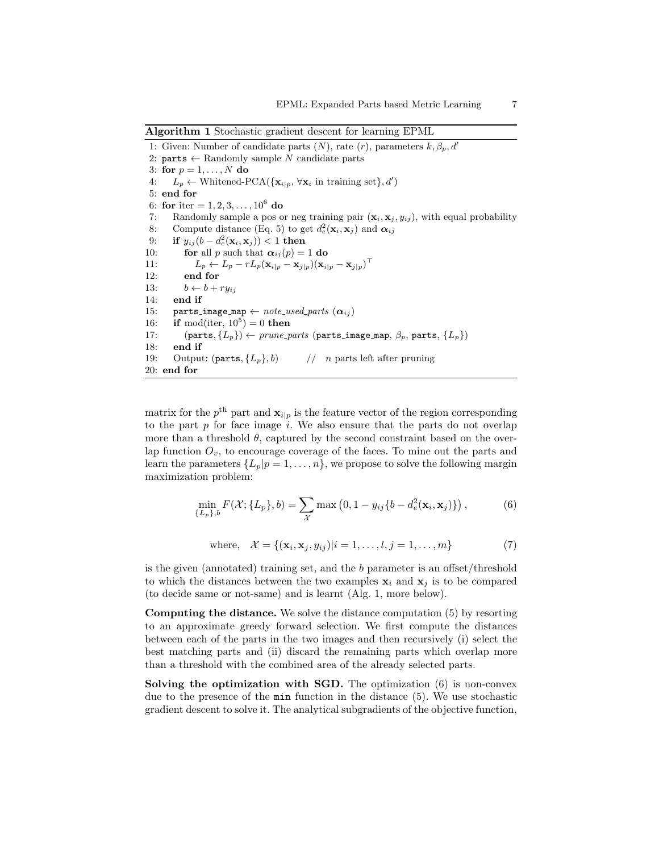Algorithm 1 Stochastic gradient descent for learning EPML

1: Given: Number of candidate parts  $(N)$ , rate  $(r)$ , parameters  $k, \beta_p, d'$ 2:  $parts \leftarrow$  Randomly sample N candidate parts 3: for  $p = 1, ..., N$  do 4:  $L_p \leftarrow \text{Whitened-PCA}(\{\mathbf{x}_{i|p}, \forall \mathbf{x}_i \text{ in training set}\}, d')$ 5: end for 6: for iter =  $1, 2, 3, \ldots, 10^6$  do 7: Randomly sample a pos or neg training pair  $(\mathbf{x}_i, \mathbf{x}_j, y_{ij})$ , with equal probability 8: Compute distance (Eq. 5) to get  $d_e^2(\mathbf{x}_i, \mathbf{x}_j)$  and  $\alpha_{ij}$ 9: if  $y_{ij}(b-d_e^2(\mathbf{x}_i,\mathbf{x}_j)) < 1$  then 10: **for** all p such that  $\alpha_{ij}(p) = 1$  do 11:  $L_p \leftarrow L_p - rL_p(\mathbf{x}_{i|p} - \mathbf{x}_{j|p})(\mathbf{x}_{i|p} - \mathbf{x}_{j|p})^\top$ 12: end for 13:  $b \leftarrow b + ry_{ij}$ 14: end if 15: parts\_image\_map  $\leftarrow$  note\_used\_parts  $(\alpha_{ij})$ 16: **if** mod(iter,  $10^5$ ) = 0 **then** 17: (parts,  $\{L_p\}$ ) ← prune\_parts (parts\_image\_map,  $\beta_p$ , parts,  $\{L_p\}$ ) 18: end if 19: Output:  $(\text{parts}, \{L_p\}, b)$  // *n* parts left after pruning 20: end for

matrix for the  $p^{\text{th}}$  part and  $\mathbf{x}_{i|p}$  is the feature vector of the region corresponding to the part  $p$  for face image  $i$ . We also ensure that the parts do not overlap more than a threshold  $\theta$ , captured by the second constraint based on the overlap function  $O_v$ , to encourage coverage of the faces. To mine out the parts and learn the parameters  $\{L_p|p=1,\ldots,n\}$ , we propose to solve the following margin maximization problem:

$$
\min_{\{L_p\},b} F(\mathcal{X}; \{L_p\}, b) = \sum_{\mathcal{X}} \max (0, 1 - y_{ij} \{b - d_e^2(\mathbf{x}_i, \mathbf{x}_j)\}),
$$
(6)

where, 
$$
\mathcal{X} = \{(\mathbf{x}_i, \mathbf{x}_j, y_{ij}) | i = 1, ..., l, j = 1, ..., m\}
$$
 (7)

is the given (annotated) training set, and the b parameter is an offset/threshold to which the distances between the two examples  $x_i$  and  $x_j$  is to be compared (to decide same or not-same) and is learnt (Alg. 1, more below).

Computing the distance. We solve the distance computation (5) by resorting to an approximate greedy forward selection. We first compute the distances between each of the parts in the two images and then recursively (i) select the best matching parts and (ii) discard the remaining parts which overlap more than a threshold with the combined area of the already selected parts.

Solving the optimization with SGD. The optimization  $(6)$  is non-convex due to the presence of the min function in the distance (5). We use stochastic gradient descent to solve it. The analytical subgradients of the objective function,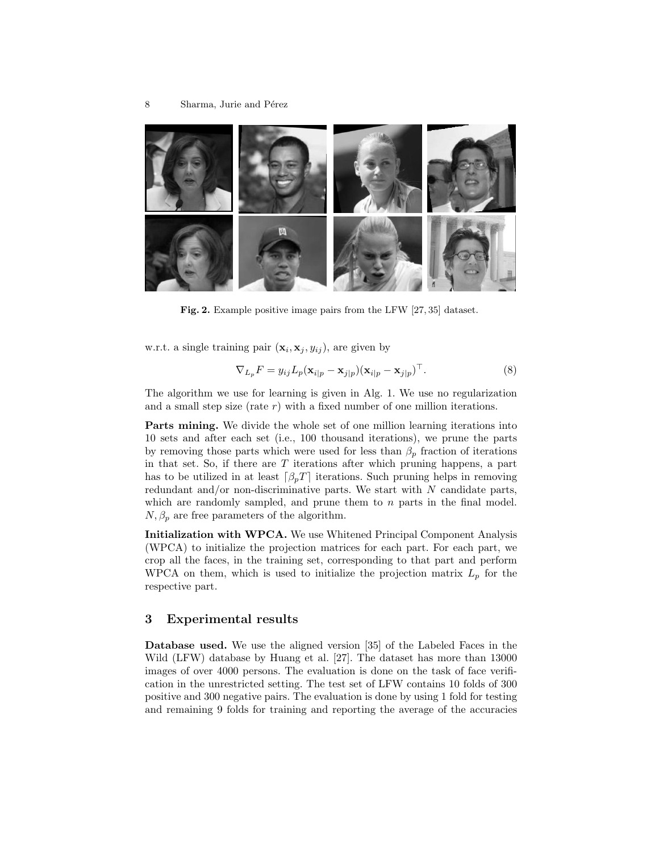

Fig. 2. Example positive image pairs from the LFW [27, 35] dataset.

w.r.t. a single training pair  $(\mathbf{x}_i, \mathbf{x}_j, y_{ij})$ , are given by

$$
\nabla_{L_p} F = y_{ij} L_p (\mathbf{x}_{i|p} - \mathbf{x}_{j|p}) (\mathbf{x}_{i|p} - \mathbf{x}_{j|p})^\top.
$$
 (8)

The algorithm we use for learning is given in Alg. 1. We use no regularization and a small step size (rate  $r$ ) with a fixed number of one million iterations.

Parts mining. We divide the whole set of one million learning iterations into 10 sets and after each set (i.e., 100 thousand iterations), we prune the parts by removing those parts which were used for less than  $\beta_p$  fraction of iterations in that set. So, if there are  $T$  iterations after which pruning happens, a part has to be utilized in at least  $\lceil \beta_p T \rceil$  iterations. Such pruning helps in removing redundant and/or non-discriminative parts. We start with  $N$  candidate parts, which are randomly sampled, and prune them to  $n$  parts in the final model.  $N, \beta_p$  are free parameters of the algorithm.

Initialization with WPCA. We use Whitened Principal Component Analysis (WPCA) to initialize the projection matrices for each part. For each part, we crop all the faces, in the training set, corresponding to that part and perform WPCA on them, which is used to initialize the projection matrix  $L_p$  for the respective part.

## 3 Experimental results

Database used. We use the aligned version [35] of the Labeled Faces in the Wild (LFW) database by Huang et al. [27]. The dataset has more than 13000 images of over 4000 persons. The evaluation is done on the task of face verification in the unrestricted setting. The test set of LFW contains 10 folds of 300 positive and 300 negative pairs. The evaluation is done by using 1 fold for testing and remaining 9 folds for training and reporting the average of the accuracies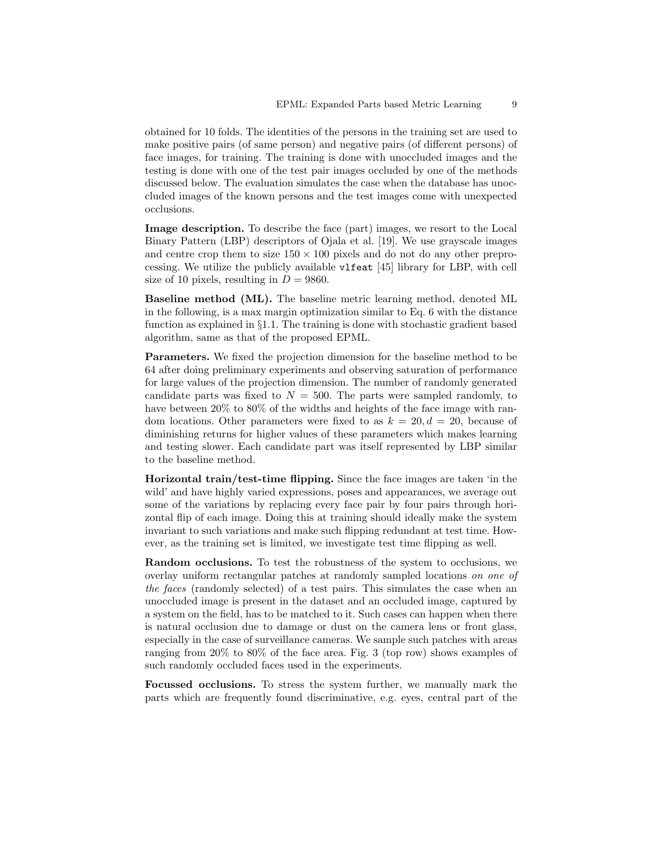obtained for 10 folds. The identities of the persons in the training set are used to make positive pairs (of same person) and negative pairs (of different persons) of face images, for training. The training is done with unoccluded images and the testing is done with one of the test pair images occluded by one of the methods discussed below. The evaluation simulates the case when the database has unoccluded images of the known persons and the test images come with unexpected occlusions.

Image description. To describe the face (part) images, we resort to the Local Binary Pattern (LBP) descriptors of Ojala et al. [19]. We use grayscale images and centre crop them to size  $150 \times 100$  pixels and do not do any other preprocessing. We utilize the publicly available vlfeat [45] library for LBP, with cell size of 10 pixels, resulting in  $D = 9860$ .

Baseline method (ML). The baseline metric learning method, denoted ML in the following, is a max margin optimization similar to Eq. 6 with the distance function as explained in §1.1. The training is done with stochastic gradient based algorithm, same as that of the proposed EPML.

Parameters. We fixed the projection dimension for the baseline method to be 64 after doing preliminary experiments and observing saturation of performance for large values of the projection dimension. The number of randomly generated candidate parts was fixed to  $N = 500$ . The parts were sampled randomly, to have between  $20\%$  to  $80\%$  of the widths and heights of the face image with random locations. Other parameters were fixed to as  $k = 20, d = 20$ , because of diminishing returns for higher values of these parameters which makes learning and testing slower. Each candidate part was itself represented by LBP similar to the baseline method.

Horizontal train/test-time flipping. Since the face images are taken 'in the wild' and have highly varied expressions, poses and appearances, we average out some of the variations by replacing every face pair by four pairs through horizontal flip of each image. Doing this at training should ideally make the system invariant to such variations and make such flipping redundant at test time. However, as the training set is limited, we investigate test time flipping as well.

Random occlusions. To test the robustness of the system to occlusions, we overlay uniform rectangular patches at randomly sampled locations on one of the faces (randomly selected) of a test pairs. This simulates the case when an unoccluded image is present in the dataset and an occluded image, captured by a system on the field, has to be matched to it. Such cases can happen when there is natural occlusion due to damage or dust on the camera lens or front glass, especially in the case of surveillance cameras. We sample such patches with areas ranging from 20% to 80% of the face area. Fig. 3 (top row) shows examples of such randomly occluded faces used in the experiments.

Focussed occlusions. To stress the system further, we manually mark the parts which are frequently found discriminative, e.g. eyes, central part of the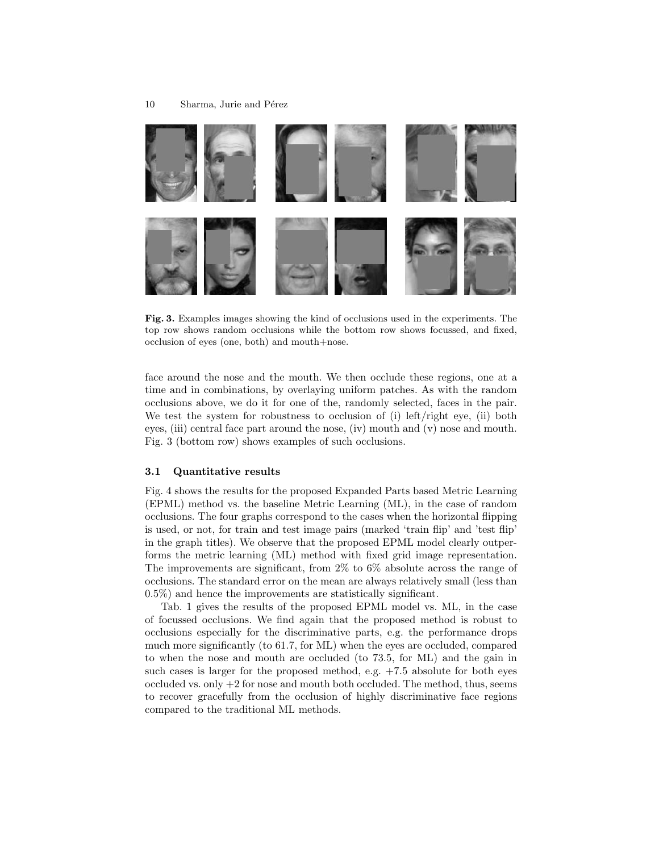

Fig. 3. Examples images showing the kind of occlusions used in the experiments. The top row shows random occlusions while the bottom row shows focussed, and fixed, occlusion of eyes (one, both) and mouth+nose.

face around the nose and the mouth. We then occlude these regions, one at a time and in combinations, by overlaying uniform patches. As with the random occlusions above, we do it for one of the, randomly selected, faces in the pair. We test the system for robustness to occlusion of (i) left/right eye, (ii) both eyes, (iii) central face part around the nose, (iv) mouth and (v) nose and mouth. Fig. 3 (bottom row) shows examples of such occlusions.

### 3.1 Quantitative results

Fig. 4 shows the results for the proposed Expanded Parts based Metric Learning (EPML) method vs. the baseline Metric Learning (ML), in the case of random occlusions. The four graphs correspond to the cases when the horizontal flipping is used, or not, for train and test image pairs (marked 'train flip' and 'test flip' in the graph titles). We observe that the proposed EPML model clearly outperforms the metric learning (ML) method with fixed grid image representation. The improvements are significant, from 2% to 6% absolute across the range of occlusions. The standard error on the mean are always relatively small (less than 0.5%) and hence the improvements are statistically significant.

Tab. 1 gives the results of the proposed EPML model vs. ML, in the case of focussed occlusions. We find again that the proposed method is robust to occlusions especially for the discriminative parts, e.g. the performance drops much more significantly (to 61.7, for ML) when the eyes are occluded, compared to when the nose and mouth are occluded (to 73.5, for ML) and the gain in such cases is larger for the proposed method, e.g. +7.5 absolute for both eyes occluded vs. only  $+2$  for nose and mouth both occluded. The method, thus, seems to recover gracefully from the occlusion of highly discriminative face regions compared to the traditional ML methods.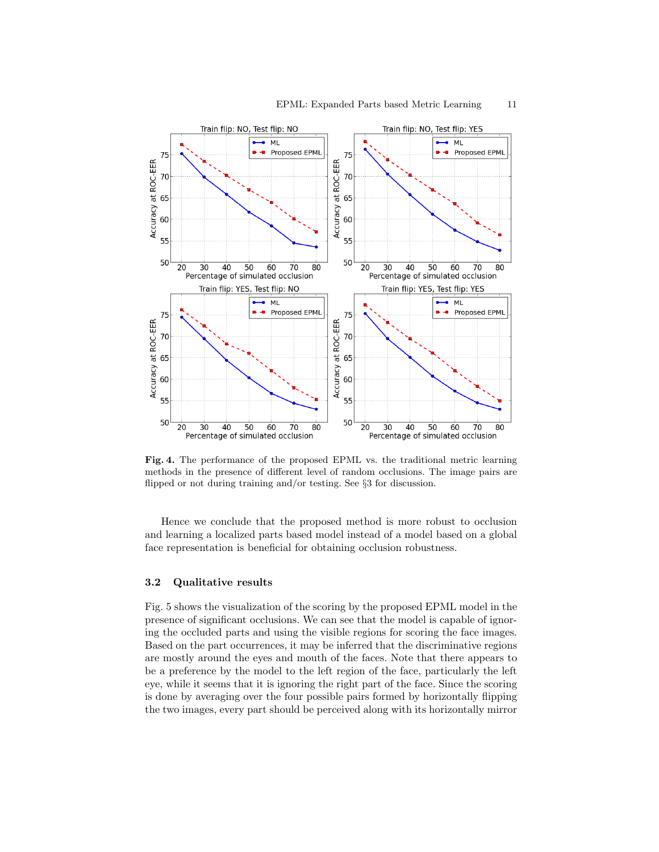

Fig. 4. The performance of the proposed EPML vs. the traditional metric learning methods in the presence of different level of random occlusions. The image pairs are flipped or not during training and/or testing. See §3 for discussion.

Hence we conclude that the proposed method is more robust to occlusion and learning a localized parts based model instead of a model based on a global face representation is beneficial for obtaining occlusion robustness.

## 3.2 Qualitative results

Fig. 5 shows the visualization of the scoring by the proposed EPML model in the presence of significant occlusions. We can see that the model is capable of ignoring the occluded parts and using the visible regions for scoring the face images. Based on the part occurrences, it may be inferred that the discriminative regions are mostly around the eyes and mouth of the faces. Note that there appears to be a preference by the model to the left region of the face, particularly the left eye, while it seems that it is ignoring the right part of the face. Since the scoring is done by averaging over the four possible pairs formed by horizontally flipping the two images, every part should be perceived along with its horizontally mirror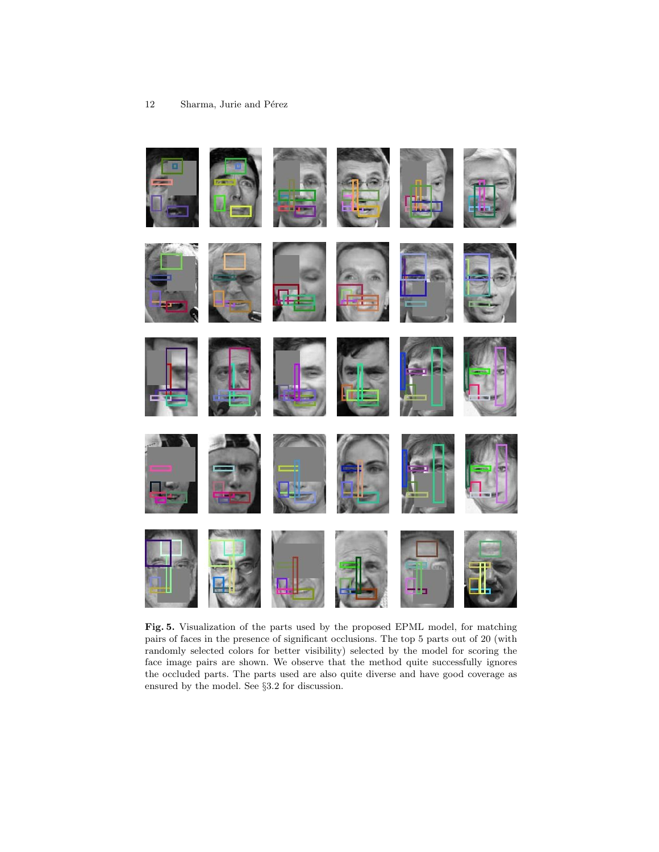

Fig. 5. Visualization of the parts used by the proposed EPML model, for matching pairs of faces in the presence of significant occlusions. The top 5 parts out of 20 (with randomly selected colors for better visibility) selected by the model for scoring the face image pairs are shown. We observe that the method quite successfully ignores the occluded parts. The parts used are also quite diverse and have good coverage as ensured by the model. See §3.2 for discussion.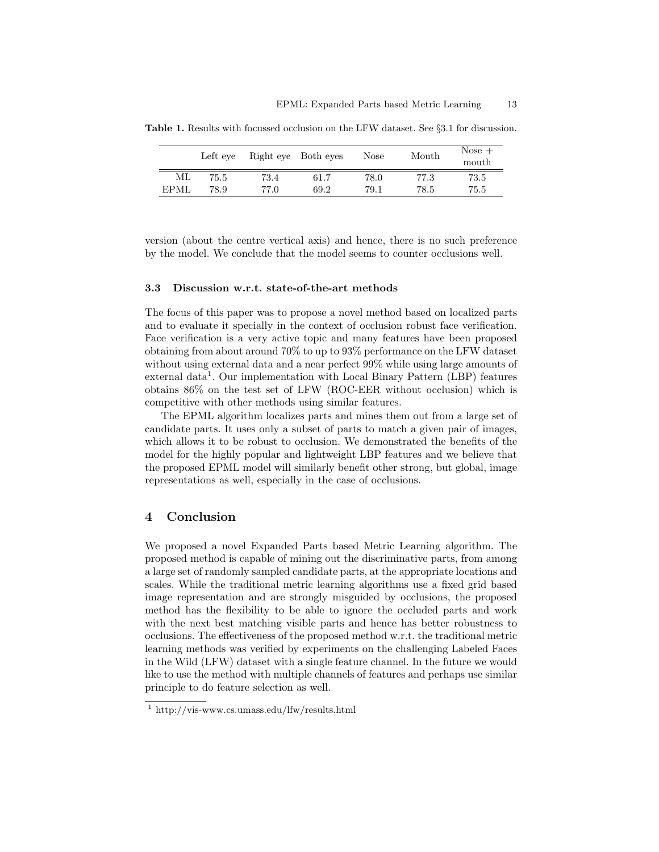|      | Left eve | Right eye Both eyes |      | <b>Nose</b> | Mouth | $Nose +$<br>mouth |
|------|----------|---------------------|------|-------------|-------|-------------------|
| МL   | 75.5     | 73.4                | 61.7 | 78.0        | 77.3  | 73.5              |
| EPML | 78.9     | 77.0                | 69.2 | 79.1        | 78.5  | 75.5              |

Table 1. Results with focussed occlusion on the LFW dataset. See §3.1 for discussion.

version (about the centre vertical axis) and hence, there is no such preference by the model. We conclude that the model seems to counter occlusions well.

#### 3.3 Discussion w.r.t. state-of-the-art methods

The focus of this paper was to propose a novel method based on localized parts and to evaluate it specially in the context of occlusion robust face verification. Face verification is a very active topic and many features have been proposed obtaining from about around 70% to up to 93% performance on the LFW dataset without using external data and a near perfect 99% while using large amounts of external data<sup>1</sup>. Our implementation with Local Binary Pattern (LBP) features obtains 86% on the test set of LFW (ROC-EER without occlusion) which is competitive with other methods using similar features.

The EPML algorithm localizes parts and mines them out from a large set of candidate parts. It uses only a subset of parts to match a given pair of images, which allows it to be robust to occlusion. We demonstrated the benefits of the model for the highly popular and lightweight LBP features and we believe that the proposed EPML model will similarly benefit other strong, but global, image representations as well, especially in the case of occlusions.

# 4 Conclusion

We proposed a novel Expanded Parts based Metric Learning algorithm. The proposed method is capable of mining out the discriminative parts, from among a large set of randomly sampled candidate parts, at the appropriate locations and scales. While the traditional metric learning algorithms use a fixed grid based image representation and are strongly misguided by occlusions, the proposed method has the flexibility to be able to ignore the occluded parts and work with the next best matching visible parts and hence has better robustness to occlusions. The effectiveness of the proposed method w.r.t. the traditional metric learning methods was verified by experiments on the challenging Labeled Faces in the Wild (LFW) dataset with a single feature channel. In the future we would like to use the method with multiple channels of features and perhaps use similar principle to do feature selection as well.

<sup>1</sup> http://vis-www.cs.umass.edu/lfw/results.html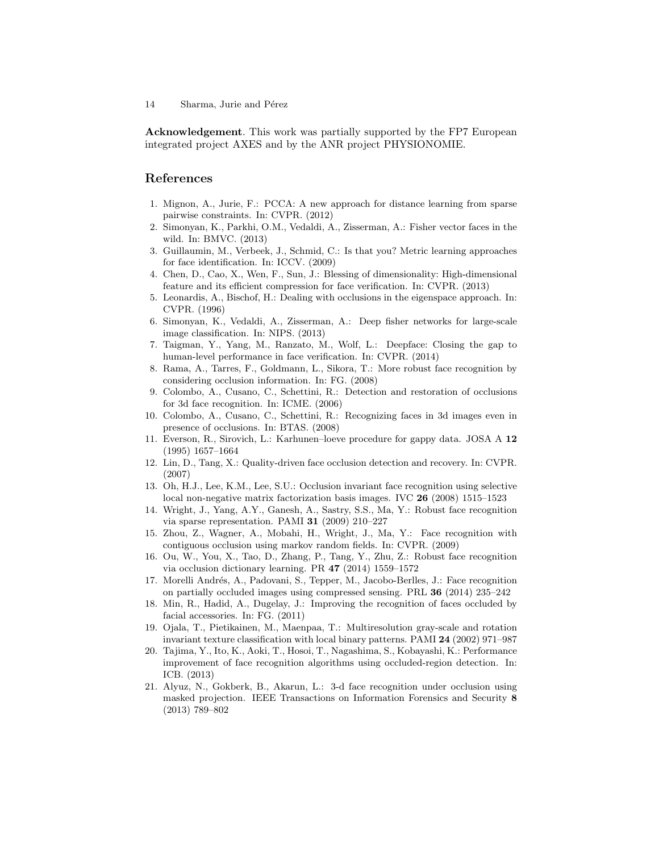14 Sharma, Jurie and Pérez

Acknowledgement. This work was partially supported by the FP7 European integrated project AXES and by the ANR project PHYSIONOMIE.

## References

- 1. Mignon, A., Jurie, F.: PCCA: A new approach for distance learning from sparse pairwise constraints. In: CVPR. (2012)
- 2. Simonyan, K., Parkhi, O.M., Vedaldi, A., Zisserman, A.: Fisher vector faces in the wild. In: BMVC. (2013)
- 3. Guillaumin, M., Verbeek, J., Schmid, C.: Is that you? Metric learning approaches for face identification. In: ICCV. (2009)
- 4. Chen, D., Cao, X., Wen, F., Sun, J.: Blessing of dimensionality: High-dimensional feature and its efficient compression for face verification. In: CVPR. (2013)
- 5. Leonardis, A., Bischof, H.: Dealing with occlusions in the eigenspace approach. In: CVPR. (1996)
- 6. Simonyan, K., Vedaldi, A., Zisserman, A.: Deep fisher networks for large-scale image classification. In: NIPS. (2013)
- 7. Taigman, Y., Yang, M., Ranzato, M., Wolf, L.: Deepface: Closing the gap to human-level performance in face verification. In: CVPR. (2014)
- 8. Rama, A., Tarres, F., Goldmann, L., Sikora, T.: More robust face recognition by considering occlusion information. In: FG. (2008)
- 9. Colombo, A., Cusano, C., Schettini, R.: Detection and restoration of occlusions for 3d face recognition. In: ICME. (2006)
- 10. Colombo, A., Cusano, C., Schettini, R.: Recognizing faces in 3d images even in presence of occlusions. In: BTAS. (2008)
- 11. Everson, R., Sirovich, L.: Karhunen–loeve procedure for gappy data. JOSA A 12 (1995) 1657–1664
- 12. Lin, D., Tang, X.: Quality-driven face occlusion detection and recovery. In: CVPR. (2007)
- 13. Oh, H.J., Lee, K.M., Lee, S.U.: Occlusion invariant face recognition using selective local non-negative matrix factorization basis images. IVC 26 (2008) 1515–1523
- 14. Wright, J., Yang, A.Y., Ganesh, A., Sastry, S.S., Ma, Y.: Robust face recognition via sparse representation. PAMI 31 (2009) 210–227
- 15. Zhou, Z., Wagner, A., Mobahi, H., Wright, J., Ma, Y.: Face recognition with contiguous occlusion using markov random fields. In: CVPR. (2009)
- 16. Ou, W., You, X., Tao, D., Zhang, P., Tang, Y., Zhu, Z.: Robust face recognition via occlusion dictionary learning. PR 47 (2014) 1559–1572
- 17. Morelli Andrés, A., Padovani, S., Tepper, M., Jacobo-Berlles, J.: Face recognition on partially occluded images using compressed sensing. PRL 36 (2014) 235–242
- 18. Min, R., Hadid, A., Dugelay, J.: Improving the recognition of faces occluded by facial accessories. In: FG. (2011)
- 19. Ojala, T., Pietikainen, M., Maenpaa, T.: Multiresolution gray-scale and rotation invariant texture classification with local binary patterns. PAMI 24 (2002) 971–987
- 20. Tajima, Y., Ito, K., Aoki, T., Hosoi, T., Nagashima, S., Kobayashi, K.: Performance improvement of face recognition algorithms using occluded-region detection. In: ICB. (2013)
- 21. Alyuz, N., Gokberk, B., Akarun, L.: 3-d face recognition under occlusion using masked projection. IEEE Transactions on Information Forensics and Security 8 (2013) 789–802